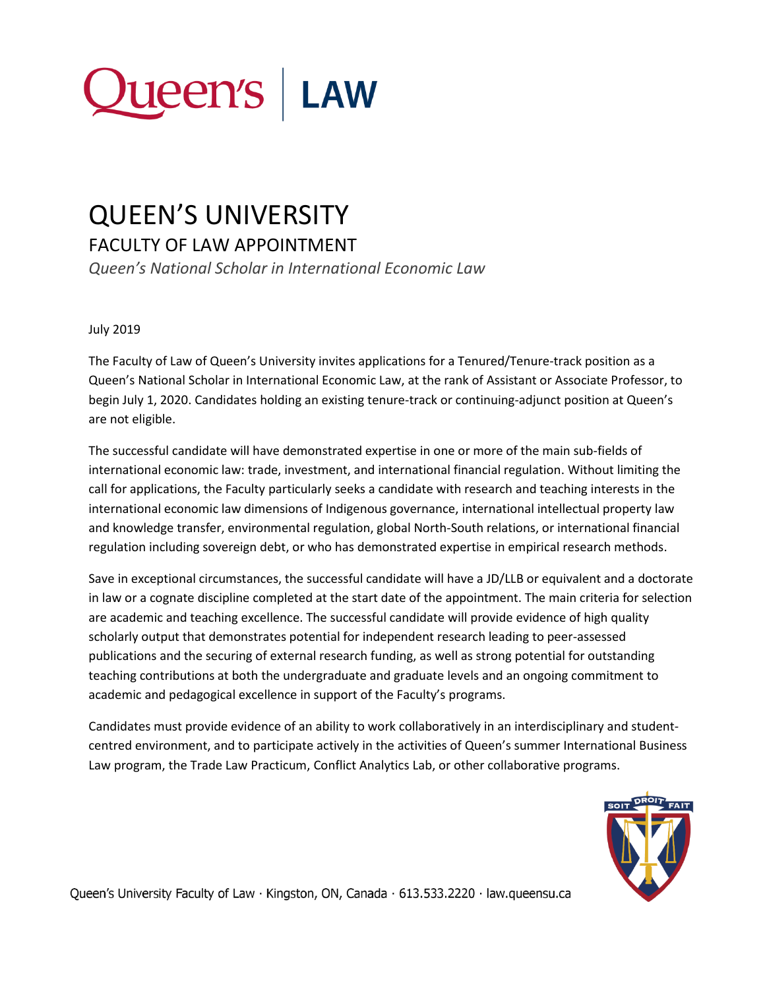

## QUEEN'S UNIVERSITY

FACULTY OF LAW APPOINTMENT

*Queen's National Scholar in International Economic Law*

## July 2019

The Faculty of Law of Queen's University invites applications for a Tenured/Tenure-track position as a Queen's National Scholar in International Economic Law, at the rank of Assistant or Associate Professor, to begin July 1, 2020. Candidates holding an existing tenure-track or continuing-adjunct position at Queen's are not eligible.

The successful candidate will have demonstrated expertise in one or more of the main sub-fields of international economic law: trade, investment, and international financial regulation. Without limiting the call for applications, the Faculty particularly seeks a candidate with research and teaching interests in the international economic law dimensions of Indigenous governance, international intellectual property law and knowledge transfer, environmental regulation, global North-South relations, or international financial regulation including sovereign debt, or who has demonstrated expertise in empirical research methods.

Save in exceptional circumstances, the successful candidate will have a JD/LLB or equivalent and a doctorate in law or a cognate discipline completed at the start date of the appointment. The main criteria for selection are academic and teaching excellence. The successful candidate will provide evidence of high quality scholarly output that demonstrates potential for independent research leading to peer-assessed publications and the securing of external research funding, as well as strong potential for outstanding teaching contributions at both the undergraduate and graduate levels and an ongoing commitment to academic and pedagogical excellence in support of the Faculty's programs.

Candidates must provide evidence of an ability to work collaboratively in an interdisciplinary and studentcentred environment, and to participate actively in the activities of Queen's summer International Business Law program, the Trade Law Practicum, Conflict Analytics Lab, or other collaborative programs.

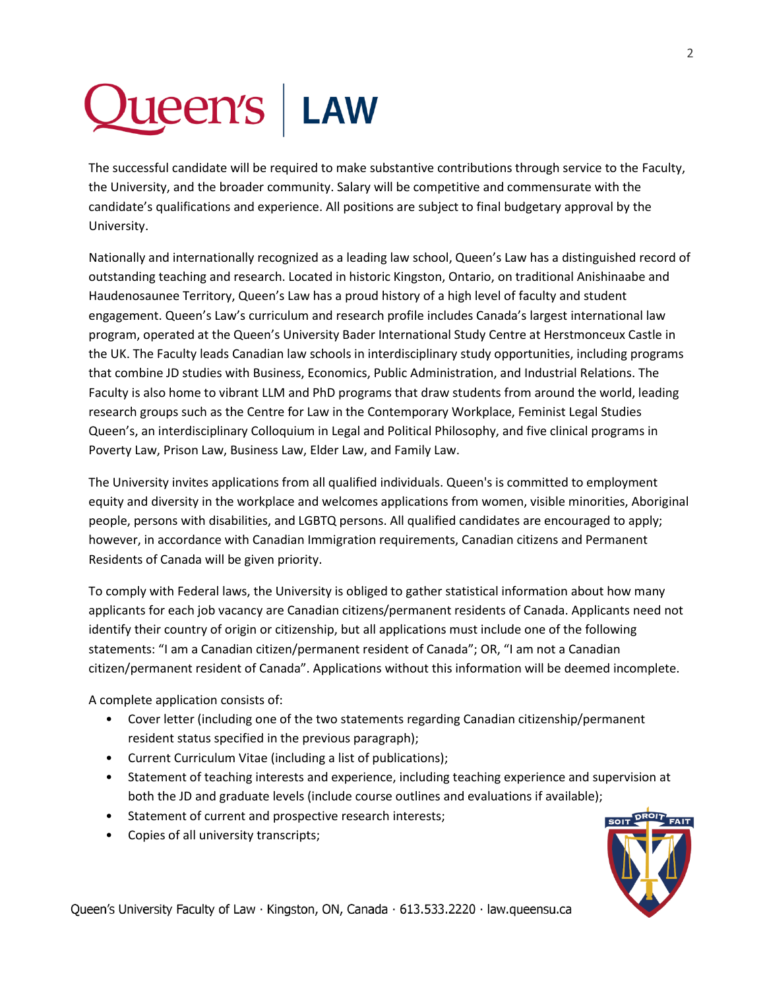## Queen's | LAW

The successful candidate will be required to make substantive contributions through service to the Faculty, the University, and the broader community. Salary will be competitive and commensurate with the candidate's qualifications and experience. All positions are subject to final budgetary approval by the University.

Nationally and internationally recognized as a leading law school, Queen's Law has a distinguished record of outstanding teaching and research. Located in historic Kingston, Ontario, on traditional Anishinaabe and Haudenosaunee Territory, Queen's Law has a proud history of a high level of faculty and student engagement. Queen's Law's curriculum and research profile includes Canada's largest international law program, operated at the Queen's University Bader International Study Centre at Herstmonceux Castle in the UK. The Faculty leads Canadian law schools in interdisciplinary study opportunities, including programs that combine JD studies with Business, Economics, Public Administration, and Industrial Relations. The Faculty is also home to vibrant LLM and PhD programs that draw students from around the world, leading research groups such as the Centre for Law in the Contemporary Workplace, Feminist Legal Studies Queen's, an interdisciplinary Colloquium in Legal and Political Philosophy, and five clinical programs in Poverty Law, Prison Law, Business Law, Elder Law, and Family Law.

The University invites applications from all qualified individuals. Queen's is committed to employment equity and diversity in the workplace and welcomes applications from women, visible minorities, Aboriginal people, persons with disabilities, and LGBTQ persons. All qualified candidates are encouraged to apply; however, in accordance with Canadian Immigration requirements, Canadian citizens and Permanent Residents of Canada will be given priority.

To comply with Federal laws, the University is obliged to gather statistical information about how many applicants for each job vacancy are Canadian citizens/permanent residents of Canada. Applicants need not identify their country of origin or citizenship, but all applications must include one of the following statements: "I am a Canadian citizen/permanent resident of Canada"; OR, "I am not a Canadian citizen/permanent resident of Canada". Applications without this information will be deemed incomplete.

A complete application consists of:

- Cover letter (including one of the two statements regarding Canadian citizenship/permanent resident status specified in the previous paragraph);
- Current Curriculum Vitae (including a list of publications);
- Statement of teaching interests and experience, including teaching experience and supervision at both the JD and graduate levels (include course outlines and evaluations if available);
- Statement of current and prospective research interests;
- Copies of all university transcripts;